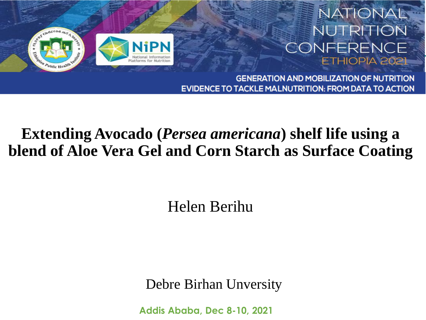

#### **NATIONAL NUTRITION** CONFERENCE ETHIOPIA 2021

**GENERATION AND MOBILIZATION OF NUTRITION** EVIDENCE TO TACKLE MALNUTRITION: FROM DATA TO ACTION

#### **Extending Avocado (***Persea americana***) shelf life using a blend of Aloe Vera Gel and Corn Starch as Surface Coating**

#### Helen Berihu

Debre Birhan Unversity

**Addis Ababa, Dec 8-10, 2021**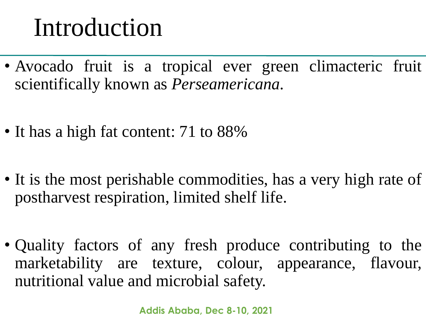## Introduction

- Avocado fruit is a tropical ever green climacteric fruit scientifically known as *Perseamericana.*
- It has a high fat content: 71 to 88%
- It is the most perishable commodities, has a very high rate of postharvest respiration, limited shelf life.
- Quality factors of any fresh produce contributing to the marketability are texture, colour, appearance, flavour, nutritional value and microbial safety.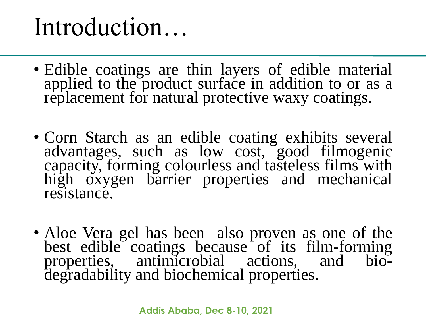## Introduction…

- Edible coatings are thin layers of edible material applied to the product surface in addition to or as a replacement for natural protective waxy coatings.
- Corn Starch as an edible coating exhibits several advantages, such as low cost, good filmogenic capacity, forming colourless and tasteless films with high oxygen barrier properties and mechanical resistance.
- Aloe Vera gel has been also proven as one of the best edible coatings because of its film-forming properties, antimicrobial actions, and biodegradability and biochemical properties.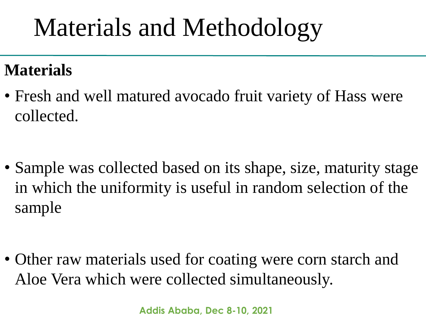# Materials and Methodology

#### **Materials**

• Fresh and well matured avocado fruit variety of Hass were collected.

• Sample was collected based on its shape, size, maturity stage in which the uniformity is useful in random selection of the sample

• Other raw materials used for coating were corn starch and Aloe Vera which were collected simultaneously.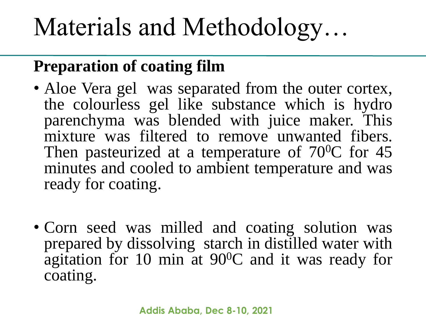# Materials and Methodology…

### **Preparation of coating film**

- Aloe Vera gel was separated from the outer cortex, the colourless gel like substance which is hydro parenchyma was blended with juice maker. This mixture was filtered to remove unwanted fibers. Then pasteurized at a temperature of  $70^0C$  for 45 minutes and cooled to ambient temperature and was ready for coating.
- Corn seed was milled and coating solution was prepared by dissolving starch in distilled water with agitation for 10 min at 90<sup>0</sup>C and it was ready for coating.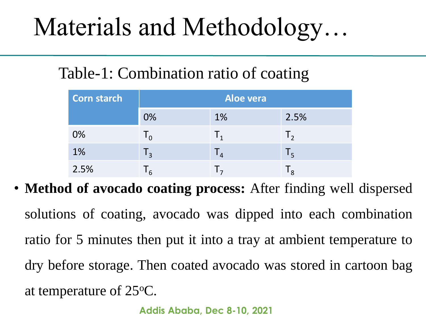# Materials and Methodology…

#### Table-1: Combination ratio of coating

| <b>Corn starch</b> | Aloe vera      |                           |                |
|--------------------|----------------|---------------------------|----------------|
|                    | 0%             | 1%                        | 2.5%           |
| 0%                 | $\mathsf{I}_0$ | $\mathbf{I}_{1}$          | $\mathsf{I}_2$ |
| 1%                 | $\mathsf{I}_3$ | $\mathsf{I}_4$            | $L_{\rm R}$    |
| 2.5%               | 6              | $\mathsf{L}_{\mathbf{z}}$ | $\mathbf{R}$   |

• **Method of avocado coating process:** After finding well dispersed solutions of coating, avocado was dipped into each combination ratio for 5 minutes then put it into a tray at ambient temperature to dry before storage. Then coated avocado was stored in cartoon bag at temperature of 25<sup>o</sup>C.

**Addis Ababa, Dec 8-10, 2021**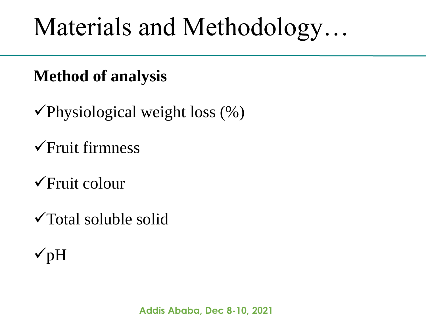# Materials and Methodology…

#### **Method of analysis**

- $\checkmark$ Physiological weight loss (%)
- Fruit firmness
- $\sqrt{F}$ ruit colour
- Total soluble solid
- $\sqrt{pH}$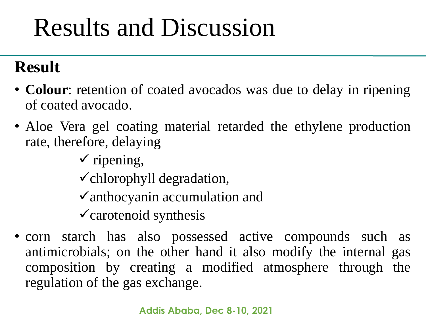### **Result**

- **Colour**: retention of coated avocados was due to delay in ripening of coated avocado.
- Aloe Vera gel coating material retarded the ethylene production rate, therefore, delaying
	- $\checkmark$  ripening,
	- $\checkmark$  chlorophyll degradation,
	- $\checkmark$  anthocyanin accumulation and
	- $\checkmark$  carotenoid synthesis
- corn starch has also possessed active compounds such as antimicrobials; on the other hand it also modify the internal gas composition by creating a modified atmosphere through the regulation of the gas exchange.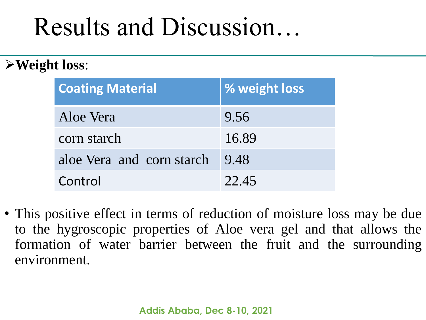#### **Weight loss**:

| <b>Coating Material</b>   | % weight loss |
|---------------------------|---------------|
| Aloe Vera                 | 9.56          |
| corn starch               | 16.89         |
| aloe Vera and corn starch | 9.48          |
| Control                   | 22.45         |

• This positive effect in terms of reduction of moisture loss may be due to the hygroscopic properties of Aloe vera gel and that allows the formation of water barrier between the fruit and the surrounding environment.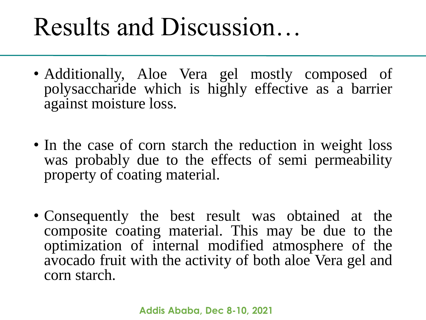- Additionally, Aloe Vera gel mostly composed of polysaccharide which is highly effective as a barrier against moisture loss.
- In the case of corn starch the reduction in weight loss was probably due to the effects of semi permeability property of coating material.
- Consequently the best result was obtained at the composite coating material. This may be due to the optimization of internal modified atmosphere of the avocado fruit with the activity of both aloe Vera gel and corn starch.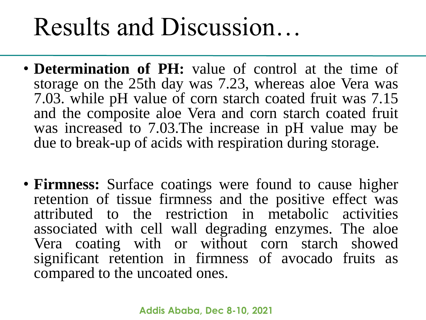- **Determination of PH:** value of control at the time of storage on the 25th day was 7.23, whereas aloe Vera was 7.03. while pH value of corn starch coated fruit was 7.15 and the composite aloe Vera and corn starch coated fruit was increased to 7.03.The increase in pH value may be due to break-up of acids with respiration during storage.
- **Firmness:** Surface coatings were found to cause higher retention of tissue firmness and the positive effect was attributed to the restriction in metabolic activities associated with cell wall degrading enzymes. The aloe Vera coating with or without corn starch showed significant retention in firmness of avocado fruits as compared to the uncoated ones.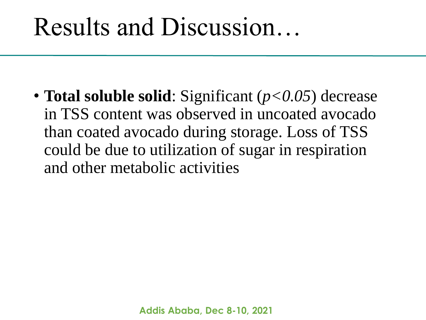• **Total soluble solid**: Significant (*p<0.05*) decrease in TSS content was observed in uncoated avocado than coated avocado during storage. Loss of TSS could be due to utilization of sugar in respiration and other metabolic activities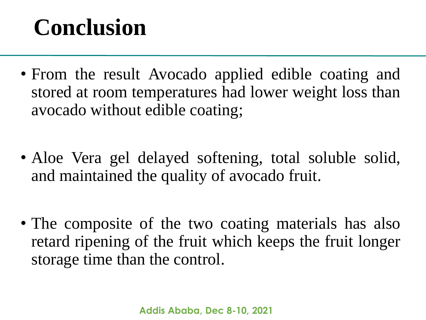### **Conclusion**

- From the result Avocado applied edible coating and stored at room temperatures had lower weight loss than avocado without edible coating;
- Aloe Vera gel delayed softening, total soluble solid, and maintained the quality of avocado fruit.
- The composite of the two coating materials has also retard ripening of the fruit which keeps the fruit longer storage time than the control.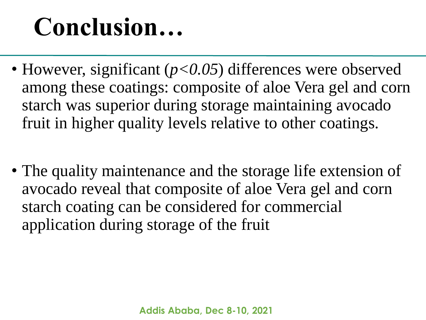# **Conclusion…**

- However, significant ( $p<0.05$ ) differences were observed among these coatings: composite of aloe Vera gel and corn starch was superior during storage maintaining avocado fruit in higher quality levels relative to other coatings.
- The quality maintenance and the storage life extension of avocado reveal that composite of aloe Vera gel and corn starch coating can be considered for commercial application during storage of the fruit